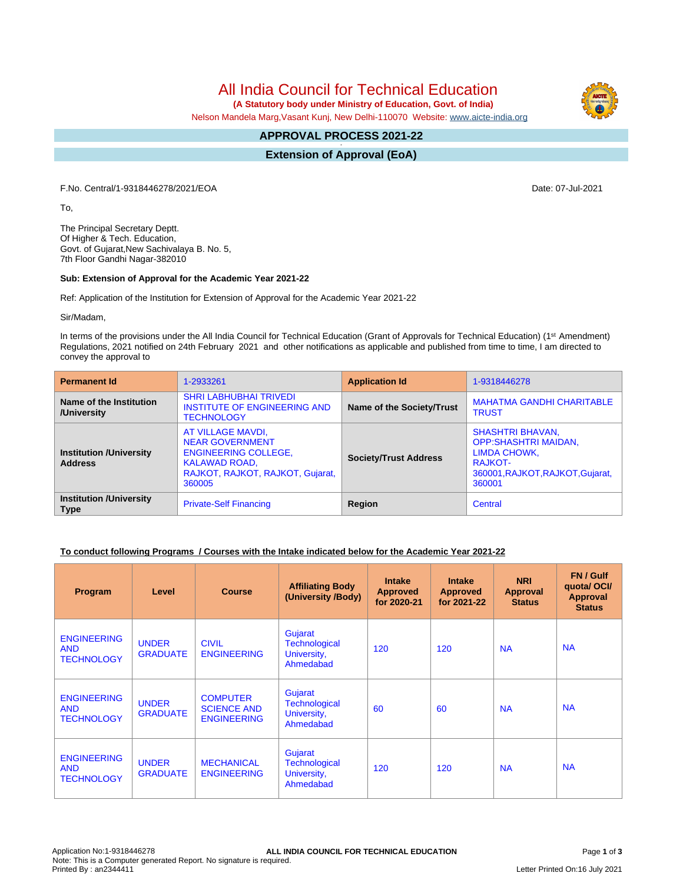All India Council for Technical Education

 **(A Statutory body under Ministry of Education, Govt. of India)**

Nelson Mandela Marg,Vasant Kunj, New Delhi-110070 Website: [www.aicte-india.org](http://www.aicte-india.org)

#### **APPROVAL PROCESS 2021-22 -**

**Extension of Approval (EoA)**

F.No. Central/1-9318446278/2021/EOA Date: 07-Jul-2021

To,

The Principal Secretary Deptt. Of Higher & Tech. Education, Govt. of Gujarat,New Sachivalaya B. No. 5, 7th Floor Gandhi Nagar-382010

#### **Sub: Extension of Approval for the Academic Year 2021-22**

Ref: Application of the Institution for Extension of Approval for the Academic Year 2021-22

Sir/Madam,

In terms of the provisions under the All India Council for Technical Education (Grant of Approvals for Technical Education) (1<sup>st</sup> Amendment) Regulations, 2021 notified on 24th February 2021 and other notifications as applicable and published from time to time, I am directed to convey the approval to

| <b>Permanent Id</b>                              | 1-2933261                                                                                                                                                                        | <b>Application Id</b>            | 1-9318446278                                                                                                                     |  |  |
|--------------------------------------------------|----------------------------------------------------------------------------------------------------------------------------------------------------------------------------------|----------------------------------|----------------------------------------------------------------------------------------------------------------------------------|--|--|
| Name of the Institution<br>/University           | <b>SHRI LABHUBHAI TRIVEDI</b><br>INSTITUTE OF ENGINEERING AND<br><b>TECHNOLOGY</b>                                                                                               | <b>Name of the Society/Trust</b> | <b>MAHATMA GANDHI CHARITABLE</b><br><b>TRUST</b>                                                                                 |  |  |
| <b>Institution /University</b><br><b>Address</b> | AT VILLAGE MAVDI,<br><b>NEAR GOVERNMENT</b><br><b>ENGINEERING COLLEGE,</b><br><b>Society/Trust Address</b><br><b>KALAWAD ROAD,</b><br>RAJKOT, RAJKOT, RAJKOT, Gujarat,<br>360005 |                                  | <b>SHASHTRI BHAVAN,</b><br><b>OPP:SHASHTRI MAIDAN,</b><br>LIMDA CHOWK,<br>RA.IKOT-<br>360001, RAJKOT, RAJKOT, Gujarat,<br>360001 |  |  |
| <b>Institution /University</b><br><b>Type</b>    | <b>Private-Self Financing</b>                                                                                                                                                    | Region                           | Central                                                                                                                          |  |  |

# **To conduct following Programs / Courses with the Intake indicated below for the Academic Year 2021-22**

| <b>Program</b>                                        | Level                           | <b>Course</b>                                               | <b>Affiliating Body</b><br>(University /Body)               | <b>Intake</b><br><b>Approved</b><br>for 2020-21 | <b>Intake</b><br><b>Approved</b><br>for 2021-22 | <b>NRI</b><br>Approval<br><b>Status</b> | FN / Gulf<br>quotal OCI/<br><b>Approval</b><br><b>Status</b> |
|-------------------------------------------------------|---------------------------------|-------------------------------------------------------------|-------------------------------------------------------------|-------------------------------------------------|-------------------------------------------------|-----------------------------------------|--------------------------------------------------------------|
| <b>ENGINEERING</b><br><b>AND</b><br><b>TECHNOLOGY</b> | <b>UNDER</b><br><b>GRADUATE</b> | <b>CIVIL</b><br><b>ENGINEERING</b>                          | Gujarat<br><b>Technological</b><br>University,<br>Ahmedabad | 120                                             | 120                                             | <b>NA</b>                               | <b>NA</b>                                                    |
| <b>ENGINEERING</b><br><b>AND</b><br><b>TECHNOLOGY</b> | <b>UNDER</b><br><b>GRADUATE</b> | <b>COMPUTER</b><br><b>SCIENCE AND</b><br><b>ENGINEERING</b> | Gujarat<br><b>Technological</b><br>University,<br>Ahmedabad | 60                                              | 60                                              | <b>NA</b>                               | <b>NA</b>                                                    |
| <b>ENGINEERING</b><br><b>AND</b><br><b>TECHNOLOGY</b> | <b>UNDER</b><br><b>GRADUATE</b> | <b>MECHANICAL</b><br><b>ENGINEERING</b>                     | Gujarat<br><b>Technological</b><br>University,<br>Ahmedabad | 120                                             | 120                                             | <b>NA</b>                               | <b>NA</b>                                                    |

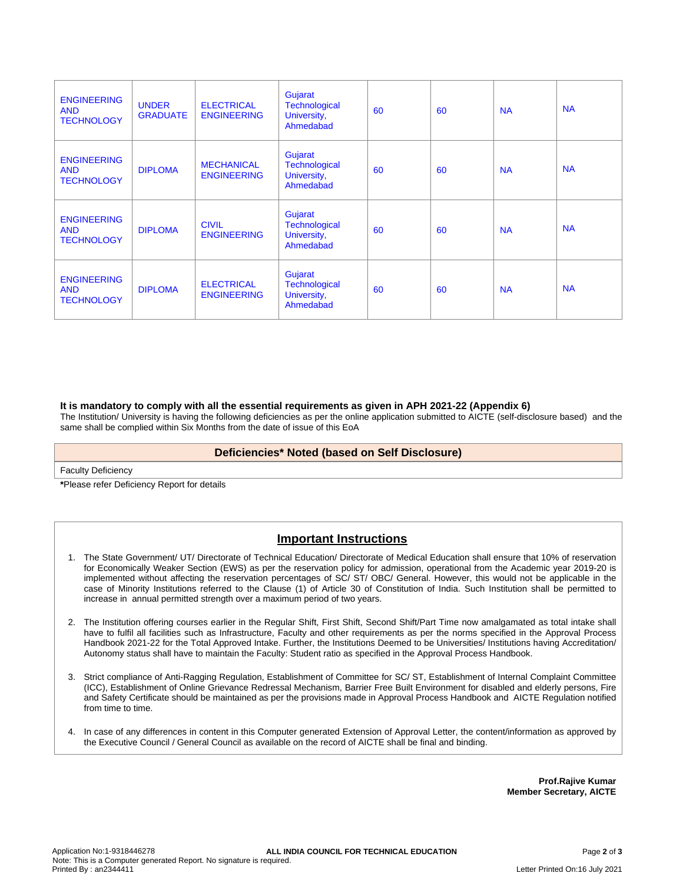| <b>ENGINEERING</b><br><b>AND</b><br><b>TECHNOLOGY</b> | <b>UNDER</b><br><b>GRADUATE</b> | <b>ELECTRICAL</b><br><b>ENGINEERING</b> | Gujarat<br><b>Technological</b><br>University,<br>Ahmedabad | 60 | 60 | <b>NA</b> | <b>NA</b> |
|-------------------------------------------------------|---------------------------------|-----------------------------------------|-------------------------------------------------------------|----|----|-----------|-----------|
| <b>ENGINEERING</b><br><b>AND</b><br><b>TECHNOLOGY</b> | <b>DIPLOMA</b>                  | <b>MECHANICAL</b><br><b>ENGINEERING</b> | Gujarat<br><b>Technological</b><br>University,<br>Ahmedabad | 60 | 60 | <b>NA</b> | <b>NA</b> |
| <b>ENGINEERING</b><br><b>AND</b><br><b>TECHNOLOGY</b> | <b>DIPLOMA</b>                  | <b>CIVIL</b><br><b>ENGINEERING</b>      | Gujarat<br>Technological<br>University,<br>Ahmedabad        | 60 | 60 | <b>NA</b> | <b>NA</b> |
| <b>ENGINEERING</b><br><b>AND</b><br><b>TECHNOLOGY</b> | <b>DIPLOMA</b>                  | <b>ELECTRICAL</b><br><b>ENGINEERING</b> | Gujarat<br><b>Technological</b><br>University,<br>Ahmedabad | 60 | 60 | <b>NA</b> | <b>NA</b> |

### **It is mandatory to comply with all the essential requirements as given in APH 2021-22 (Appendix 6)**

The Institution/ University is having the following deficiencies as per the online application submitted to AICTE (self-disclosure based) and the same shall be complied within Six Months from the date of issue of this EoA

### **Deficiencies\* Noted (based on Self Disclosure)**

Faculty Deficiency

**\***Please refer Deficiency Report for details

# **Important Instructions**

- 1. The State Government/ UT/ Directorate of Technical Education/ Directorate of Medical Education shall ensure that 10% of reservation for Economically Weaker Section (EWS) as per the reservation policy for admission, operational from the Academic year 2019-20 is implemented without affecting the reservation percentages of SC/ ST/ OBC/ General. However, this would not be applicable in the case of Minority Institutions referred to the Clause (1) of Article 30 of Constitution of India. Such Institution shall be permitted to increase in annual permitted strength over a maximum period of two years.
- 2. The Institution offering courses earlier in the Regular Shift, First Shift, Second Shift/Part Time now amalgamated as total intake shall have to fulfil all facilities such as Infrastructure, Faculty and other requirements as per the norms specified in the Approval Process Handbook 2021-22 for the Total Approved Intake. Further, the Institutions Deemed to be Universities/ Institutions having Accreditation/ Autonomy status shall have to maintain the Faculty: Student ratio as specified in the Approval Process Handbook.
- 3. Strict compliance of Anti-Ragging Regulation, Establishment of Committee for SC/ ST, Establishment of Internal Complaint Committee (ICC), Establishment of Online Grievance Redressal Mechanism, Barrier Free Built Environment for disabled and elderly persons, Fire and Safety Certificate should be maintained as per the provisions made in Approval Process Handbook and AICTE Regulation notified from time to time.
- 4. In case of any differences in content in this Computer generated Extension of Approval Letter, the content/information as approved by the Executive Council / General Council as available on the record of AICTE shall be final and binding.

**Prof.Rajive Kumar Member Secretary, AICTE**